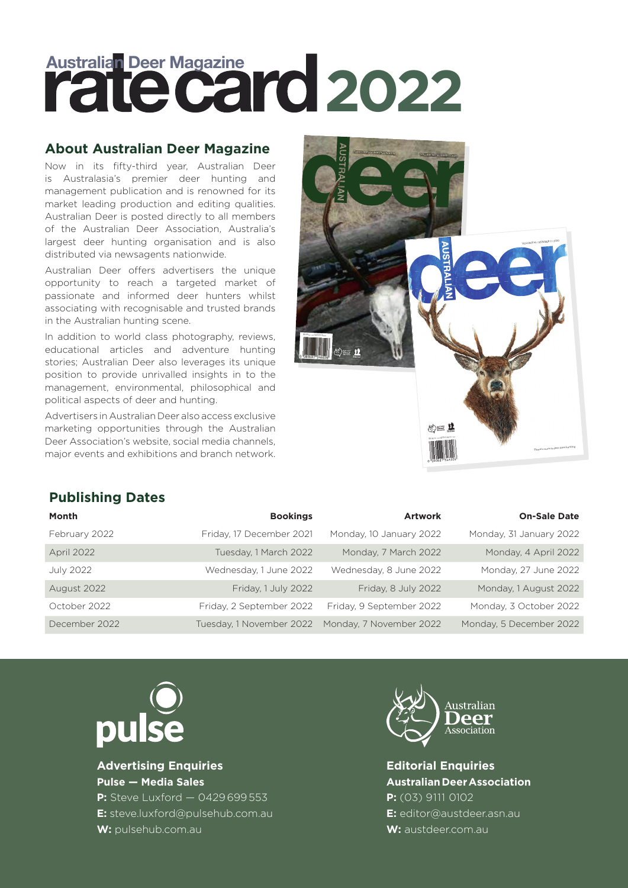# **Australian Deer Magazine 2022**

## **About Australian Deer Magazine**

Now in its fifty-third year, Australian Deer is Australasia's premier deer hunting and management publication and is renowned for its market leading production and editing qualities. Australian Deer is posted directly to all members of the Australian Deer Association, Australia's largest deer hunting organisation and is also distributed via newsagents nationwide.

Australian Deer offers advertisers the unique opportunity to reach a targeted market of passionate and informed deer hunters whilst associating with recognisable and trusted brands in the Australian hunting scene.

In addition to world class photography, reviews, educational articles and adventure hunting stories; Australian Deer also leverages its unique position to provide unrivalled insights in to the management, environmental, philosophical and political aspects of deer and hunting.

Advertisers in Australian Deer also access exclusive marketing opportunities through the Australian Deer Association's website, social media channels, major events and exhibitions and branch network.



# **Publishing Dates**

| Month             | <b>Bookings</b>          | <b>Artwork</b>           | <b>On-Sale Date</b>     |
|-------------------|--------------------------|--------------------------|-------------------------|
| February 2022     | Friday, 17 December 2021 | Monday, 10 January 2022  | Monday, 31 January 2022 |
| <b>April 2022</b> | Tuesday, 1 March 2022    | Monday, 7 March 2022     | Monday, 4 April 2022    |
| <b>July 2022</b>  | Wednesday, 1 June 2022   | Wednesday, 8 June 2022   | Monday, 27 June 2022    |
| August 2022       | Friday, 1 July 2022      | Friday, 8 July 2022      | Monday, 1 August 2022   |
| October 2022      | Friday, 2 September 2022 | Friday, 9 September 2022 | Monday, 3 October 2022  |
| December 2022     | Tuesday, 1 November 2022 | Monday, 7 November 2022  | Monday, 5 December 2022 |



**Advertising Enquiries Pulse — Media Sales**

**P:** Steve Luxford — 0429 699 553 **E:** steve.luxford@pulsehub.com.au **W:** pulsehub.com.au



**Editorial Enquiries Australian Deer Association P:** (03) 9111 0102 **E:** editor@austdeer.asn.au **W:** austdeer.com.au